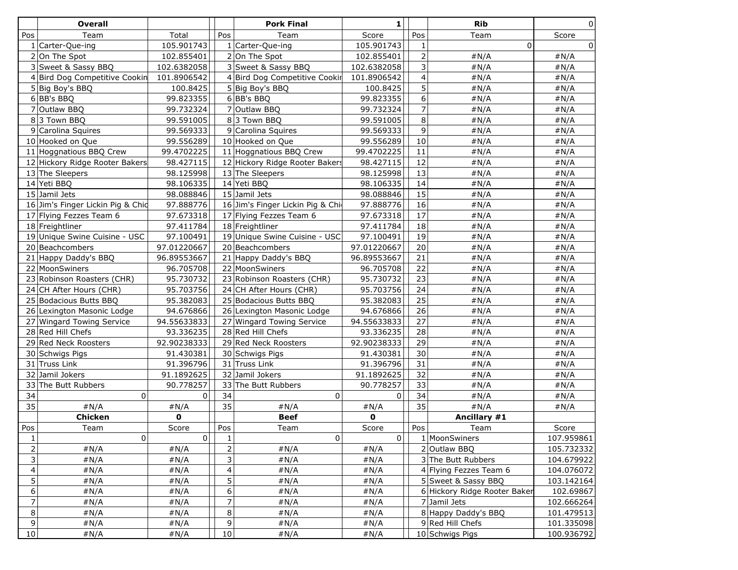| Pos<br>Total<br>Pos<br>Score<br>Pos<br>Team<br>Team<br>Team<br>Score<br>$\overline{0}$<br>1 Carter-Que-ing<br>105.901743<br>$1$ Carter-Que-ing<br>105.901743<br>$\Omega$<br>1<br>$\overline{2}$<br>#N/A<br>#N/A<br>2 On The Spot<br>102.855401<br>2 On The Spot<br>102.855401<br>3<br>3 Sweet & Sassy BBQ<br>3 Sweet & Sassy BBQ<br>#N/A<br>#N/A<br>102.6382058<br>102.6382058<br>$\overline{\mathbf{4}}$<br>#N/A<br>101.8906542<br>4 Bird Dog Competitive Cookir<br>#N/A<br>4 Bird Dog Competitive Cookin<br>101.8906542<br>5<br>#N/A<br>100.8425<br>100.8425<br>#N/A<br>5 Big Boy's BBQ<br>5 Big Boy's BBQ<br>6<br>6 BB's BBQ<br>99.823355<br>6 BB's BBQ<br>99.823355<br>#N/A<br>#N/A<br>$\overline{7}$<br>7 Outlaw BBQ<br>7 Outlaw BBQ<br>99.732324<br>99.732324<br>#N/A<br>#N/A<br>8<br>83 Town BBQ<br>99.591005<br>83 Town BBQ<br>99.591005<br>#N/A<br>#N/A<br>9<br>9 Carolina Squires<br>99.569333<br>9 Carolina Squires<br>99.569333<br>#N/A<br>#N/A<br>10<br>10 Hooked on Que<br>99.556289<br>10 Hooked on Que<br>99.556289<br>#N/A<br>#N/A<br>11 Hoggnatious BBQ Crew<br>11 Hoggnatious BBQ Crew<br>11<br>99.4702225<br>99.4702225<br>#N/A<br>#N/A<br>12<br>12 Hickory Ridge Rooter Bakers<br>12 Hickory Ridge Rooter Bakers<br>98.427115<br>98.427115<br>#N/A<br>#N/A<br>13<br>98.125998<br>#N/A<br>13 The Sleepers<br>13 The Sleepers<br>98.125998<br>#N/A<br>14<br>14 Yeti BBQ<br>#N/A<br>14 Yeti BBQ<br>98.106335<br>#N/A<br>98.106335<br>15<br>15 Jamil Jets<br>98.088846<br>15 Jamil Jets<br>98.088846<br>#N/A<br>#N/A<br>16<br>16 Jim's Finger Lickin Pig & Chid<br>97.888776<br>16 Jim's Finger Lickin Pig & Chi<br>#N/A<br>97.888776<br>#N/A<br>17<br>17 Flying Fezzes Team 6<br>17 Flying Fezzes Team 6<br>97.673318<br>97.673318<br>#N/A<br>#N/A<br>18<br>97.411784<br>18 Freightliner<br>97.411784<br>#N/A<br>18 Freightliner<br>#N/A<br>19 Unique Swine Cuisine - USC<br>19<br>19 Unique Swine Cuisine - USC<br>97.100491<br>97.100491<br>#N/A<br>#N/A<br>20<br>97.01220667<br>20 Beachcombers<br>97.01220667<br>#N/A<br>20 Beachcombers<br>#N/A<br>21<br>21 Happy Daddy's BBQ<br>21 Happy Daddy's BBQ<br>96.89553667<br>96.89553667<br>#N/A<br>#N/A<br>22<br>22 MoonSwiners<br>22 MoonSwiners<br>#N/A<br>96.705708<br>96.705708<br>#N/A<br>23<br>23 Robinson Roasters (CHR)<br>95.730732<br>23 Robinson Roasters (CHR)<br>#N/A<br>95.730732<br>#N/A<br>24<br>#N/A<br>24 CH After Hours (CHR)<br>95.703756<br>24 CH After Hours (CHR)<br>95.703756<br>#N/A<br>25<br>25 Bodacious Butts BBQ<br>95.382083<br>25 Bodacious Butts BBQ<br>95.382083<br>#N/A<br>#N/A<br>26<br>94.676866<br>#N/A<br>26 Lexington Masonic Lodge<br>26 Lexington Masonic Lodge<br>94.676866<br>#N/A<br>27<br>27 Wingard Towing Service<br>94.55633833<br>27 Wingard Towing Service<br>94.55633833<br>#N/A<br>#N/A<br>28<br>28 Red Hill Chefs<br>93.336235<br>28 Red Hill Chefs<br>#N/A<br>93.336235<br>#N/A<br>29<br>92.90238333<br>29 Red Neck Roosters<br>92.90238333<br>#N/A<br>#N/A<br>29 Red Neck Roosters<br>30<br>91.430381<br>30 Schwigs Pigs<br>91.430381<br>30 Schwigs Pigs<br>#N/A<br>#N/A<br>31<br>31 Truss Link<br>31 Truss Link<br>91.396796<br>91.396796<br>#N/A<br>#N/A<br>32<br>32<br>Jamil Jokers<br>91.1892625<br>32 Jamil Jokers<br>91.1892625<br>#N/A<br>#N/A<br>33<br>90.778257<br>33 The Butt Rubbers<br>#N/A<br>33 The Butt Rubbers<br>90.778257<br>#N/A<br>34<br>34<br>34<br>$\Omega$<br>0<br>#N/A<br>$\Omega$<br>$\Omega$<br>#N/A<br>35<br>35<br>35<br>#N/A<br>#N/A<br>#N/A<br>#N/A<br>#N/A<br>#N/A<br>Chicken<br>0<br><b>Beef</b><br>0<br>Ancillary #1<br>Score<br>Pos<br>Team<br>Score<br>Pos<br>Team<br>Score<br>Pos<br>Team<br> 0 <br>107.959861<br>1<br>$\mathbf 0$<br> 0 <br>$\overline{0}$<br>1 MoonSwiners<br>$\mathbf{1}$<br>$\overline{2}$<br>$\overline{2}$<br>$2$ Outlaw BBQ<br>#N/A<br>#N/A<br>#N/A<br>105.732332<br>#N/A<br>3<br>$\mathsf 3$<br>3 The Butt Rubbers<br>104.679922<br>#N/A<br>#N/A<br>#N/A<br>#N/A<br>$\overline{4}$<br>$\overline{\mathbf{4}}$<br>4 Flying Fezzes Team 6<br>104.076072<br>#N/A<br>#N/A<br>#N/A<br>#N/A<br>$\overline{5}$<br>5<br>5 Sweet & Sassy BBQ<br>#N/A<br>#N/A<br>#N/A<br>#N/A<br>103.142164<br>$\boldsymbol{6}$<br>$\boldsymbol{6}$<br>#N/A<br>#N/A<br>6 Hickory Ridge Rooter Baker<br>102.69867<br>#N/A<br>#N/A<br>$\overline{7}$<br>$\overline{7}$<br>#N/A<br>#N/A<br>7 Jamil Jets<br>102.666264<br>#N/A<br>#N/A<br>$\bf 8$<br>8<br>8 Happy Daddy's BBQ<br>#N/A<br>#N/A<br>#N/A<br>101.479513<br>#N/A<br>$\overline{9}$<br>9<br>#N/A<br>#N/A<br>9 Red Hill Chefs<br>#N/A<br>#N/A<br>10<br>10 Schwigs Pigs | Overall |      |        | <b>Pork Final</b> | 1 <sup>1</sup> | <b>Rib</b> | οI         |
|----------------------------------------------------------------------------------------------------------------------------------------------------------------------------------------------------------------------------------------------------------------------------------------------------------------------------------------------------------------------------------------------------------------------------------------------------------------------------------------------------------------------------------------------------------------------------------------------------------------------------------------------------------------------------------------------------------------------------------------------------------------------------------------------------------------------------------------------------------------------------------------------------------------------------------------------------------------------------------------------------------------------------------------------------------------------------------------------------------------------------------------------------------------------------------------------------------------------------------------------------------------------------------------------------------------------------------------------------------------------------------------------------------------------------------------------------------------------------------------------------------------------------------------------------------------------------------------------------------------------------------------------------------------------------------------------------------------------------------------------------------------------------------------------------------------------------------------------------------------------------------------------------------------------------------------------------------------------------------------------------------------------------------------------------------------------------------------------------------------------------------------------------------------------------------------------------------------------------------------------------------------------------------------------------------------------------------------------------------------------------------------------------------------------------------------------------------------------------------------------------------------------------------------------------------------------------------------------------------------------------------------------------------------------------------------------------------------------------------------------------------------------------------------------------------------------------------------------------------------------------------------------------------------------------------------------------------------------------------------------------------------------------------------------------------------------------------------------------------------------------------------------------------------------------------------------------------------------------------------------------------------------------------------------------------------------------------------------------------------------------------------------------------------------------------------------------------------------------------------------------------------------------------------------------------------------------------------------------------------------------------------------------------------------------------------------------------------------------------------------------------------------------------------------------------------------------------------------------------------------------------------------------------------------------------------------------------------------------------------------------------------------------------------------------------------------------------------------------------------------------------------------------------------------------------------------------------------------------------------------------------------------------------------------------------------------------------------------------------------------------------------------------------------------------------------------------------------------------------------------------------------------------------------------------------------------------------------|---------|------|--------|-------------------|----------------|------------|------------|
|                                                                                                                                                                                                                                                                                                                                                                                                                                                                                                                                                                                                                                                                                                                                                                                                                                                                                                                                                                                                                                                                                                                                                                                                                                                                                                                                                                                                                                                                                                                                                                                                                                                                                                                                                                                                                                                                                                                                                                                                                                                                                                                                                                                                                                                                                                                                                                                                                                                                                                                                                                                                                                                                                                                                                                                                                                                                                                                                                                                                                                                                                                                                                                                                                                                                                                                                                                                                                                                                                                                                                                                                                                                                                                                                                                                                                                                                                                                                                                                                                                                                                                                                                                                                                                                                                                                                                                                                                                                                                                                                                                                        |         |      |        |                   |                |            |            |
|                                                                                                                                                                                                                                                                                                                                                                                                                                                                                                                                                                                                                                                                                                                                                                                                                                                                                                                                                                                                                                                                                                                                                                                                                                                                                                                                                                                                                                                                                                                                                                                                                                                                                                                                                                                                                                                                                                                                                                                                                                                                                                                                                                                                                                                                                                                                                                                                                                                                                                                                                                                                                                                                                                                                                                                                                                                                                                                                                                                                                                                                                                                                                                                                                                                                                                                                                                                                                                                                                                                                                                                                                                                                                                                                                                                                                                                                                                                                                                                                                                                                                                                                                                                                                                                                                                                                                                                                                                                                                                                                                                                        |         |      |        |                   |                |            |            |
|                                                                                                                                                                                                                                                                                                                                                                                                                                                                                                                                                                                                                                                                                                                                                                                                                                                                                                                                                                                                                                                                                                                                                                                                                                                                                                                                                                                                                                                                                                                                                                                                                                                                                                                                                                                                                                                                                                                                                                                                                                                                                                                                                                                                                                                                                                                                                                                                                                                                                                                                                                                                                                                                                                                                                                                                                                                                                                                                                                                                                                                                                                                                                                                                                                                                                                                                                                                                                                                                                                                                                                                                                                                                                                                                                                                                                                                                                                                                                                                                                                                                                                                                                                                                                                                                                                                                                                                                                                                                                                                                                                                        |         |      |        |                   |                |            |            |
|                                                                                                                                                                                                                                                                                                                                                                                                                                                                                                                                                                                                                                                                                                                                                                                                                                                                                                                                                                                                                                                                                                                                                                                                                                                                                                                                                                                                                                                                                                                                                                                                                                                                                                                                                                                                                                                                                                                                                                                                                                                                                                                                                                                                                                                                                                                                                                                                                                                                                                                                                                                                                                                                                                                                                                                                                                                                                                                                                                                                                                                                                                                                                                                                                                                                                                                                                                                                                                                                                                                                                                                                                                                                                                                                                                                                                                                                                                                                                                                                                                                                                                                                                                                                                                                                                                                                                                                                                                                                                                                                                                                        |         |      |        |                   |                |            |            |
|                                                                                                                                                                                                                                                                                                                                                                                                                                                                                                                                                                                                                                                                                                                                                                                                                                                                                                                                                                                                                                                                                                                                                                                                                                                                                                                                                                                                                                                                                                                                                                                                                                                                                                                                                                                                                                                                                                                                                                                                                                                                                                                                                                                                                                                                                                                                                                                                                                                                                                                                                                                                                                                                                                                                                                                                                                                                                                                                                                                                                                                                                                                                                                                                                                                                                                                                                                                                                                                                                                                                                                                                                                                                                                                                                                                                                                                                                                                                                                                                                                                                                                                                                                                                                                                                                                                                                                                                                                                                                                                                                                                        |         |      |        |                   |                |            |            |
|                                                                                                                                                                                                                                                                                                                                                                                                                                                                                                                                                                                                                                                                                                                                                                                                                                                                                                                                                                                                                                                                                                                                                                                                                                                                                                                                                                                                                                                                                                                                                                                                                                                                                                                                                                                                                                                                                                                                                                                                                                                                                                                                                                                                                                                                                                                                                                                                                                                                                                                                                                                                                                                                                                                                                                                                                                                                                                                                                                                                                                                                                                                                                                                                                                                                                                                                                                                                                                                                                                                                                                                                                                                                                                                                                                                                                                                                                                                                                                                                                                                                                                                                                                                                                                                                                                                                                                                                                                                                                                                                                                                        |         |      |        |                   |                |            |            |
| 101.335098                                                                                                                                                                                                                                                                                                                                                                                                                                                                                                                                                                                                                                                                                                                                                                                                                                                                                                                                                                                                                                                                                                                                                                                                                                                                                                                                                                                                                                                                                                                                                                                                                                                                                                                                                                                                                                                                                                                                                                                                                                                                                                                                                                                                                                                                                                                                                                                                                                                                                                                                                                                                                                                                                                                                                                                                                                                                                                                                                                                                                                                                                                                                                                                                                                                                                                                                                                                                                                                                                                                                                                                                                                                                                                                                                                                                                                                                                                                                                                                                                                                                                                                                                                                                                                                                                                                                                                                                                                                                                                                                                                             |         |      |        |                   |                |            |            |
|                                                                                                                                                                                                                                                                                                                                                                                                                                                                                                                                                                                                                                                                                                                                                                                                                                                                                                                                                                                                                                                                                                                                                                                                                                                                                                                                                                                                                                                                                                                                                                                                                                                                                                                                                                                                                                                                                                                                                                                                                                                                                                                                                                                                                                                                                                                                                                                                                                                                                                                                                                                                                                                                                                                                                                                                                                                                                                                                                                                                                                                                                                                                                                                                                                                                                                                                                                                                                                                                                                                                                                                                                                                                                                                                                                                                                                                                                                                                                                                                                                                                                                                                                                                                                                                                                                                                                                                                                                                                                                                                                                                        |         |      |        |                   |                |            |            |
|                                                                                                                                                                                                                                                                                                                                                                                                                                                                                                                                                                                                                                                                                                                                                                                                                                                                                                                                                                                                                                                                                                                                                                                                                                                                                                                                                                                                                                                                                                                                                                                                                                                                                                                                                                                                                                                                                                                                                                                                                                                                                                                                                                                                                                                                                                                                                                                                                                                                                                                                                                                                                                                                                                                                                                                                                                                                                                                                                                                                                                                                                                                                                                                                                                                                                                                                                                                                                                                                                                                                                                                                                                                                                                                                                                                                                                                                                                                                                                                                                                                                                                                                                                                                                                                                                                                                                                                                                                                                                                                                                                                        |         |      |        |                   |                |            |            |
|                                                                                                                                                                                                                                                                                                                                                                                                                                                                                                                                                                                                                                                                                                                                                                                                                                                                                                                                                                                                                                                                                                                                                                                                                                                                                                                                                                                                                                                                                                                                                                                                                                                                                                                                                                                                                                                                                                                                                                                                                                                                                                                                                                                                                                                                                                                                                                                                                                                                                                                                                                                                                                                                                                                                                                                                                                                                                                                                                                                                                                                                                                                                                                                                                                                                                                                                                                                                                                                                                                                                                                                                                                                                                                                                                                                                                                                                                                                                                                                                                                                                                                                                                                                                                                                                                                                                                                                                                                                                                                                                                                                        |         |      |        |                   |                |            |            |
|                                                                                                                                                                                                                                                                                                                                                                                                                                                                                                                                                                                                                                                                                                                                                                                                                                                                                                                                                                                                                                                                                                                                                                                                                                                                                                                                                                                                                                                                                                                                                                                                                                                                                                                                                                                                                                                                                                                                                                                                                                                                                                                                                                                                                                                                                                                                                                                                                                                                                                                                                                                                                                                                                                                                                                                                                                                                                                                                                                                                                                                                                                                                                                                                                                                                                                                                                                                                                                                                                                                                                                                                                                                                                                                                                                                                                                                                                                                                                                                                                                                                                                                                                                                                                                                                                                                                                                                                                                                                                                                                                                                        |         |      |        |                   |                |            |            |
|                                                                                                                                                                                                                                                                                                                                                                                                                                                                                                                                                                                                                                                                                                                                                                                                                                                                                                                                                                                                                                                                                                                                                                                                                                                                                                                                                                                                                                                                                                                                                                                                                                                                                                                                                                                                                                                                                                                                                                                                                                                                                                                                                                                                                                                                                                                                                                                                                                                                                                                                                                                                                                                                                                                                                                                                                                                                                                                                                                                                                                                                                                                                                                                                                                                                                                                                                                                                                                                                                                                                                                                                                                                                                                                                                                                                                                                                                                                                                                                                                                                                                                                                                                                                                                                                                                                                                                                                                                                                                                                                                                                        |         |      |        |                   |                |            |            |
|                                                                                                                                                                                                                                                                                                                                                                                                                                                                                                                                                                                                                                                                                                                                                                                                                                                                                                                                                                                                                                                                                                                                                                                                                                                                                                                                                                                                                                                                                                                                                                                                                                                                                                                                                                                                                                                                                                                                                                                                                                                                                                                                                                                                                                                                                                                                                                                                                                                                                                                                                                                                                                                                                                                                                                                                                                                                                                                                                                                                                                                                                                                                                                                                                                                                                                                                                                                                                                                                                                                                                                                                                                                                                                                                                                                                                                                                                                                                                                                                                                                                                                                                                                                                                                                                                                                                                                                                                                                                                                                                                                                        |         |      |        |                   |                |            |            |
|                                                                                                                                                                                                                                                                                                                                                                                                                                                                                                                                                                                                                                                                                                                                                                                                                                                                                                                                                                                                                                                                                                                                                                                                                                                                                                                                                                                                                                                                                                                                                                                                                                                                                                                                                                                                                                                                                                                                                                                                                                                                                                                                                                                                                                                                                                                                                                                                                                                                                                                                                                                                                                                                                                                                                                                                                                                                                                                                                                                                                                                                                                                                                                                                                                                                                                                                                                                                                                                                                                                                                                                                                                                                                                                                                                                                                                                                                                                                                                                                                                                                                                                                                                                                                                                                                                                                                                                                                                                                                                                                                                                        |         |      |        |                   |                |            |            |
|                                                                                                                                                                                                                                                                                                                                                                                                                                                                                                                                                                                                                                                                                                                                                                                                                                                                                                                                                                                                                                                                                                                                                                                                                                                                                                                                                                                                                                                                                                                                                                                                                                                                                                                                                                                                                                                                                                                                                                                                                                                                                                                                                                                                                                                                                                                                                                                                                                                                                                                                                                                                                                                                                                                                                                                                                                                                                                                                                                                                                                                                                                                                                                                                                                                                                                                                                                                                                                                                                                                                                                                                                                                                                                                                                                                                                                                                                                                                                                                                                                                                                                                                                                                                                                                                                                                                                                                                                                                                                                                                                                                        |         |      |        |                   |                |            |            |
|                                                                                                                                                                                                                                                                                                                                                                                                                                                                                                                                                                                                                                                                                                                                                                                                                                                                                                                                                                                                                                                                                                                                                                                                                                                                                                                                                                                                                                                                                                                                                                                                                                                                                                                                                                                                                                                                                                                                                                                                                                                                                                                                                                                                                                                                                                                                                                                                                                                                                                                                                                                                                                                                                                                                                                                                                                                                                                                                                                                                                                                                                                                                                                                                                                                                                                                                                                                                                                                                                                                                                                                                                                                                                                                                                                                                                                                                                                                                                                                                                                                                                                                                                                                                                                                                                                                                                                                                                                                                                                                                                                                        |         |      |        |                   |                |            |            |
|                                                                                                                                                                                                                                                                                                                                                                                                                                                                                                                                                                                                                                                                                                                                                                                                                                                                                                                                                                                                                                                                                                                                                                                                                                                                                                                                                                                                                                                                                                                                                                                                                                                                                                                                                                                                                                                                                                                                                                                                                                                                                                                                                                                                                                                                                                                                                                                                                                                                                                                                                                                                                                                                                                                                                                                                                                                                                                                                                                                                                                                                                                                                                                                                                                                                                                                                                                                                                                                                                                                                                                                                                                                                                                                                                                                                                                                                                                                                                                                                                                                                                                                                                                                                                                                                                                                                                                                                                                                                                                                                                                                        |         |      |        |                   |                |            |            |
|                                                                                                                                                                                                                                                                                                                                                                                                                                                                                                                                                                                                                                                                                                                                                                                                                                                                                                                                                                                                                                                                                                                                                                                                                                                                                                                                                                                                                                                                                                                                                                                                                                                                                                                                                                                                                                                                                                                                                                                                                                                                                                                                                                                                                                                                                                                                                                                                                                                                                                                                                                                                                                                                                                                                                                                                                                                                                                                                                                                                                                                                                                                                                                                                                                                                                                                                                                                                                                                                                                                                                                                                                                                                                                                                                                                                                                                                                                                                                                                                                                                                                                                                                                                                                                                                                                                                                                                                                                                                                                                                                                                        |         |      |        |                   |                |            |            |
|                                                                                                                                                                                                                                                                                                                                                                                                                                                                                                                                                                                                                                                                                                                                                                                                                                                                                                                                                                                                                                                                                                                                                                                                                                                                                                                                                                                                                                                                                                                                                                                                                                                                                                                                                                                                                                                                                                                                                                                                                                                                                                                                                                                                                                                                                                                                                                                                                                                                                                                                                                                                                                                                                                                                                                                                                                                                                                                                                                                                                                                                                                                                                                                                                                                                                                                                                                                                                                                                                                                                                                                                                                                                                                                                                                                                                                                                                                                                                                                                                                                                                                                                                                                                                                                                                                                                                                                                                                                                                                                                                                                        |         |      |        |                   |                |            |            |
|                                                                                                                                                                                                                                                                                                                                                                                                                                                                                                                                                                                                                                                                                                                                                                                                                                                                                                                                                                                                                                                                                                                                                                                                                                                                                                                                                                                                                                                                                                                                                                                                                                                                                                                                                                                                                                                                                                                                                                                                                                                                                                                                                                                                                                                                                                                                                                                                                                                                                                                                                                                                                                                                                                                                                                                                                                                                                                                                                                                                                                                                                                                                                                                                                                                                                                                                                                                                                                                                                                                                                                                                                                                                                                                                                                                                                                                                                                                                                                                                                                                                                                                                                                                                                                                                                                                                                                                                                                                                                                                                                                                        |         |      |        |                   |                |            |            |
|                                                                                                                                                                                                                                                                                                                                                                                                                                                                                                                                                                                                                                                                                                                                                                                                                                                                                                                                                                                                                                                                                                                                                                                                                                                                                                                                                                                                                                                                                                                                                                                                                                                                                                                                                                                                                                                                                                                                                                                                                                                                                                                                                                                                                                                                                                                                                                                                                                                                                                                                                                                                                                                                                                                                                                                                                                                                                                                                                                                                                                                                                                                                                                                                                                                                                                                                                                                                                                                                                                                                                                                                                                                                                                                                                                                                                                                                                                                                                                                                                                                                                                                                                                                                                                                                                                                                                                                                                                                                                                                                                                                        |         |      |        |                   |                |            |            |
|                                                                                                                                                                                                                                                                                                                                                                                                                                                                                                                                                                                                                                                                                                                                                                                                                                                                                                                                                                                                                                                                                                                                                                                                                                                                                                                                                                                                                                                                                                                                                                                                                                                                                                                                                                                                                                                                                                                                                                                                                                                                                                                                                                                                                                                                                                                                                                                                                                                                                                                                                                                                                                                                                                                                                                                                                                                                                                                                                                                                                                                                                                                                                                                                                                                                                                                                                                                                                                                                                                                                                                                                                                                                                                                                                                                                                                                                                                                                                                                                                                                                                                                                                                                                                                                                                                                                                                                                                                                                                                                                                                                        |         |      |        |                   |                |            |            |
|                                                                                                                                                                                                                                                                                                                                                                                                                                                                                                                                                                                                                                                                                                                                                                                                                                                                                                                                                                                                                                                                                                                                                                                                                                                                                                                                                                                                                                                                                                                                                                                                                                                                                                                                                                                                                                                                                                                                                                                                                                                                                                                                                                                                                                                                                                                                                                                                                                                                                                                                                                                                                                                                                                                                                                                                                                                                                                                                                                                                                                                                                                                                                                                                                                                                                                                                                                                                                                                                                                                                                                                                                                                                                                                                                                                                                                                                                                                                                                                                                                                                                                                                                                                                                                                                                                                                                                                                                                                                                                                                                                                        |         |      |        |                   |                |            |            |
|                                                                                                                                                                                                                                                                                                                                                                                                                                                                                                                                                                                                                                                                                                                                                                                                                                                                                                                                                                                                                                                                                                                                                                                                                                                                                                                                                                                                                                                                                                                                                                                                                                                                                                                                                                                                                                                                                                                                                                                                                                                                                                                                                                                                                                                                                                                                                                                                                                                                                                                                                                                                                                                                                                                                                                                                                                                                                                                                                                                                                                                                                                                                                                                                                                                                                                                                                                                                                                                                                                                                                                                                                                                                                                                                                                                                                                                                                                                                                                                                                                                                                                                                                                                                                                                                                                                                                                                                                                                                                                                                                                                        |         |      |        |                   |                |            |            |
|                                                                                                                                                                                                                                                                                                                                                                                                                                                                                                                                                                                                                                                                                                                                                                                                                                                                                                                                                                                                                                                                                                                                                                                                                                                                                                                                                                                                                                                                                                                                                                                                                                                                                                                                                                                                                                                                                                                                                                                                                                                                                                                                                                                                                                                                                                                                                                                                                                                                                                                                                                                                                                                                                                                                                                                                                                                                                                                                                                                                                                                                                                                                                                                                                                                                                                                                                                                                                                                                                                                                                                                                                                                                                                                                                                                                                                                                                                                                                                                                                                                                                                                                                                                                                                                                                                                                                                                                                                                                                                                                                                                        |         |      |        |                   |                |            |            |
|                                                                                                                                                                                                                                                                                                                                                                                                                                                                                                                                                                                                                                                                                                                                                                                                                                                                                                                                                                                                                                                                                                                                                                                                                                                                                                                                                                                                                                                                                                                                                                                                                                                                                                                                                                                                                                                                                                                                                                                                                                                                                                                                                                                                                                                                                                                                                                                                                                                                                                                                                                                                                                                                                                                                                                                                                                                                                                                                                                                                                                                                                                                                                                                                                                                                                                                                                                                                                                                                                                                                                                                                                                                                                                                                                                                                                                                                                                                                                                                                                                                                                                                                                                                                                                                                                                                                                                                                                                                                                                                                                                                        |         |      |        |                   |                |            |            |
|                                                                                                                                                                                                                                                                                                                                                                                                                                                                                                                                                                                                                                                                                                                                                                                                                                                                                                                                                                                                                                                                                                                                                                                                                                                                                                                                                                                                                                                                                                                                                                                                                                                                                                                                                                                                                                                                                                                                                                                                                                                                                                                                                                                                                                                                                                                                                                                                                                                                                                                                                                                                                                                                                                                                                                                                                                                                                                                                                                                                                                                                                                                                                                                                                                                                                                                                                                                                                                                                                                                                                                                                                                                                                                                                                                                                                                                                                                                                                                                                                                                                                                                                                                                                                                                                                                                                                                                                                                                                                                                                                                                        |         |      |        |                   |                |            |            |
|                                                                                                                                                                                                                                                                                                                                                                                                                                                                                                                                                                                                                                                                                                                                                                                                                                                                                                                                                                                                                                                                                                                                                                                                                                                                                                                                                                                                                                                                                                                                                                                                                                                                                                                                                                                                                                                                                                                                                                                                                                                                                                                                                                                                                                                                                                                                                                                                                                                                                                                                                                                                                                                                                                                                                                                                                                                                                                                                                                                                                                                                                                                                                                                                                                                                                                                                                                                                                                                                                                                                                                                                                                                                                                                                                                                                                                                                                                                                                                                                                                                                                                                                                                                                                                                                                                                                                                                                                                                                                                                                                                                        |         |      |        |                   |                |            |            |
|                                                                                                                                                                                                                                                                                                                                                                                                                                                                                                                                                                                                                                                                                                                                                                                                                                                                                                                                                                                                                                                                                                                                                                                                                                                                                                                                                                                                                                                                                                                                                                                                                                                                                                                                                                                                                                                                                                                                                                                                                                                                                                                                                                                                                                                                                                                                                                                                                                                                                                                                                                                                                                                                                                                                                                                                                                                                                                                                                                                                                                                                                                                                                                                                                                                                                                                                                                                                                                                                                                                                                                                                                                                                                                                                                                                                                                                                                                                                                                                                                                                                                                                                                                                                                                                                                                                                                                                                                                                                                                                                                                                        |         |      |        |                   |                |            |            |
|                                                                                                                                                                                                                                                                                                                                                                                                                                                                                                                                                                                                                                                                                                                                                                                                                                                                                                                                                                                                                                                                                                                                                                                                                                                                                                                                                                                                                                                                                                                                                                                                                                                                                                                                                                                                                                                                                                                                                                                                                                                                                                                                                                                                                                                                                                                                                                                                                                                                                                                                                                                                                                                                                                                                                                                                                                                                                                                                                                                                                                                                                                                                                                                                                                                                                                                                                                                                                                                                                                                                                                                                                                                                                                                                                                                                                                                                                                                                                                                                                                                                                                                                                                                                                                                                                                                                                                                                                                                                                                                                                                                        |         |      |        |                   |                |            |            |
|                                                                                                                                                                                                                                                                                                                                                                                                                                                                                                                                                                                                                                                                                                                                                                                                                                                                                                                                                                                                                                                                                                                                                                                                                                                                                                                                                                                                                                                                                                                                                                                                                                                                                                                                                                                                                                                                                                                                                                                                                                                                                                                                                                                                                                                                                                                                                                                                                                                                                                                                                                                                                                                                                                                                                                                                                                                                                                                                                                                                                                                                                                                                                                                                                                                                                                                                                                                                                                                                                                                                                                                                                                                                                                                                                                                                                                                                                                                                                                                                                                                                                                                                                                                                                                                                                                                                                                                                                                                                                                                                                                                        |         |      |        |                   |                |            |            |
|                                                                                                                                                                                                                                                                                                                                                                                                                                                                                                                                                                                                                                                                                                                                                                                                                                                                                                                                                                                                                                                                                                                                                                                                                                                                                                                                                                                                                                                                                                                                                                                                                                                                                                                                                                                                                                                                                                                                                                                                                                                                                                                                                                                                                                                                                                                                                                                                                                                                                                                                                                                                                                                                                                                                                                                                                                                                                                                                                                                                                                                                                                                                                                                                                                                                                                                                                                                                                                                                                                                                                                                                                                                                                                                                                                                                                                                                                                                                                                                                                                                                                                                                                                                                                                                                                                                                                                                                                                                                                                                                                                                        |         |      |        |                   |                |            |            |
|                                                                                                                                                                                                                                                                                                                                                                                                                                                                                                                                                                                                                                                                                                                                                                                                                                                                                                                                                                                                                                                                                                                                                                                                                                                                                                                                                                                                                                                                                                                                                                                                                                                                                                                                                                                                                                                                                                                                                                                                                                                                                                                                                                                                                                                                                                                                                                                                                                                                                                                                                                                                                                                                                                                                                                                                                                                                                                                                                                                                                                                                                                                                                                                                                                                                                                                                                                                                                                                                                                                                                                                                                                                                                                                                                                                                                                                                                                                                                                                                                                                                                                                                                                                                                                                                                                                                                                                                                                                                                                                                                                                        |         |      |        |                   |                |            |            |
|                                                                                                                                                                                                                                                                                                                                                                                                                                                                                                                                                                                                                                                                                                                                                                                                                                                                                                                                                                                                                                                                                                                                                                                                                                                                                                                                                                                                                                                                                                                                                                                                                                                                                                                                                                                                                                                                                                                                                                                                                                                                                                                                                                                                                                                                                                                                                                                                                                                                                                                                                                                                                                                                                                                                                                                                                                                                                                                                                                                                                                                                                                                                                                                                                                                                                                                                                                                                                                                                                                                                                                                                                                                                                                                                                                                                                                                                                                                                                                                                                                                                                                                                                                                                                                                                                                                                                                                                                                                                                                                                                                                        |         |      |        |                   |                |            |            |
|                                                                                                                                                                                                                                                                                                                                                                                                                                                                                                                                                                                                                                                                                                                                                                                                                                                                                                                                                                                                                                                                                                                                                                                                                                                                                                                                                                                                                                                                                                                                                                                                                                                                                                                                                                                                                                                                                                                                                                                                                                                                                                                                                                                                                                                                                                                                                                                                                                                                                                                                                                                                                                                                                                                                                                                                                                                                                                                                                                                                                                                                                                                                                                                                                                                                                                                                                                                                                                                                                                                                                                                                                                                                                                                                                                                                                                                                                                                                                                                                                                                                                                                                                                                                                                                                                                                                                                                                                                                                                                                                                                                        |         |      |        |                   |                |            |            |
|                                                                                                                                                                                                                                                                                                                                                                                                                                                                                                                                                                                                                                                                                                                                                                                                                                                                                                                                                                                                                                                                                                                                                                                                                                                                                                                                                                                                                                                                                                                                                                                                                                                                                                                                                                                                                                                                                                                                                                                                                                                                                                                                                                                                                                                                                                                                                                                                                                                                                                                                                                                                                                                                                                                                                                                                                                                                                                                                                                                                                                                                                                                                                                                                                                                                                                                                                                                                                                                                                                                                                                                                                                                                                                                                                                                                                                                                                                                                                                                                                                                                                                                                                                                                                                                                                                                                                                                                                                                                                                                                                                                        |         |      |        |                   |                |            |            |
|                                                                                                                                                                                                                                                                                                                                                                                                                                                                                                                                                                                                                                                                                                                                                                                                                                                                                                                                                                                                                                                                                                                                                                                                                                                                                                                                                                                                                                                                                                                                                                                                                                                                                                                                                                                                                                                                                                                                                                                                                                                                                                                                                                                                                                                                                                                                                                                                                                                                                                                                                                                                                                                                                                                                                                                                                                                                                                                                                                                                                                                                                                                                                                                                                                                                                                                                                                                                                                                                                                                                                                                                                                                                                                                                                                                                                                                                                                                                                                                                                                                                                                                                                                                                                                                                                                                                                                                                                                                                                                                                                                                        |         |      |        |                   |                |            |            |
|                                                                                                                                                                                                                                                                                                                                                                                                                                                                                                                                                                                                                                                                                                                                                                                                                                                                                                                                                                                                                                                                                                                                                                                                                                                                                                                                                                                                                                                                                                                                                                                                                                                                                                                                                                                                                                                                                                                                                                                                                                                                                                                                                                                                                                                                                                                                                                                                                                                                                                                                                                                                                                                                                                                                                                                                                                                                                                                                                                                                                                                                                                                                                                                                                                                                                                                                                                                                                                                                                                                                                                                                                                                                                                                                                                                                                                                                                                                                                                                                                                                                                                                                                                                                                                                                                                                                                                                                                                                                                                                                                                                        |         |      |        |                   |                |            |            |
|                                                                                                                                                                                                                                                                                                                                                                                                                                                                                                                                                                                                                                                                                                                                                                                                                                                                                                                                                                                                                                                                                                                                                                                                                                                                                                                                                                                                                                                                                                                                                                                                                                                                                                                                                                                                                                                                                                                                                                                                                                                                                                                                                                                                                                                                                                                                                                                                                                                                                                                                                                                                                                                                                                                                                                                                                                                                                                                                                                                                                                                                                                                                                                                                                                                                                                                                                                                                                                                                                                                                                                                                                                                                                                                                                                                                                                                                                                                                                                                                                                                                                                                                                                                                                                                                                                                                                                                                                                                                                                                                                                                        |         |      |        |                   |                |            |            |
|                                                                                                                                                                                                                                                                                                                                                                                                                                                                                                                                                                                                                                                                                                                                                                                                                                                                                                                                                                                                                                                                                                                                                                                                                                                                                                                                                                                                                                                                                                                                                                                                                                                                                                                                                                                                                                                                                                                                                                                                                                                                                                                                                                                                                                                                                                                                                                                                                                                                                                                                                                                                                                                                                                                                                                                                                                                                                                                                                                                                                                                                                                                                                                                                                                                                                                                                                                                                                                                                                                                                                                                                                                                                                                                                                                                                                                                                                                                                                                                                                                                                                                                                                                                                                                                                                                                                                                                                                                                                                                                                                                                        |         |      |        |                   |                |            |            |
|                                                                                                                                                                                                                                                                                                                                                                                                                                                                                                                                                                                                                                                                                                                                                                                                                                                                                                                                                                                                                                                                                                                                                                                                                                                                                                                                                                                                                                                                                                                                                                                                                                                                                                                                                                                                                                                                                                                                                                                                                                                                                                                                                                                                                                                                                                                                                                                                                                                                                                                                                                                                                                                                                                                                                                                                                                                                                                                                                                                                                                                                                                                                                                                                                                                                                                                                                                                                                                                                                                                                                                                                                                                                                                                                                                                                                                                                                                                                                                                                                                                                                                                                                                                                                                                                                                                                                                                                                                                                                                                                                                                        |         |      |        |                   |                |            |            |
|                                                                                                                                                                                                                                                                                                                                                                                                                                                                                                                                                                                                                                                                                                                                                                                                                                                                                                                                                                                                                                                                                                                                                                                                                                                                                                                                                                                                                                                                                                                                                                                                                                                                                                                                                                                                                                                                                                                                                                                                                                                                                                                                                                                                                                                                                                                                                                                                                                                                                                                                                                                                                                                                                                                                                                                                                                                                                                                                                                                                                                                                                                                                                                                                                                                                                                                                                                                                                                                                                                                                                                                                                                                                                                                                                                                                                                                                                                                                                                                                                                                                                                                                                                                                                                                                                                                                                                                                                                                                                                                                                                                        |         |      |        |                   |                |            |            |
|                                                                                                                                                                                                                                                                                                                                                                                                                                                                                                                                                                                                                                                                                                                                                                                                                                                                                                                                                                                                                                                                                                                                                                                                                                                                                                                                                                                                                                                                                                                                                                                                                                                                                                                                                                                                                                                                                                                                                                                                                                                                                                                                                                                                                                                                                                                                                                                                                                                                                                                                                                                                                                                                                                                                                                                                                                                                                                                                                                                                                                                                                                                                                                                                                                                                                                                                                                                                                                                                                                                                                                                                                                                                                                                                                                                                                                                                                                                                                                                                                                                                                                                                                                                                                                                                                                                                                                                                                                                                                                                                                                                        |         |      |        |                   |                |            |            |
|                                                                                                                                                                                                                                                                                                                                                                                                                                                                                                                                                                                                                                                                                                                                                                                                                                                                                                                                                                                                                                                                                                                                                                                                                                                                                                                                                                                                                                                                                                                                                                                                                                                                                                                                                                                                                                                                                                                                                                                                                                                                                                                                                                                                                                                                                                                                                                                                                                                                                                                                                                                                                                                                                                                                                                                                                                                                                                                                                                                                                                                                                                                                                                                                                                                                                                                                                                                                                                                                                                                                                                                                                                                                                                                                                                                                                                                                                                                                                                                                                                                                                                                                                                                                                                                                                                                                                                                                                                                                                                                                                                                        |         |      |        |                   |                |            |            |
|                                                                                                                                                                                                                                                                                                                                                                                                                                                                                                                                                                                                                                                                                                                                                                                                                                                                                                                                                                                                                                                                                                                                                                                                                                                                                                                                                                                                                                                                                                                                                                                                                                                                                                                                                                                                                                                                                                                                                                                                                                                                                                                                                                                                                                                                                                                                                                                                                                                                                                                                                                                                                                                                                                                                                                                                                                                                                                                                                                                                                                                                                                                                                                                                                                                                                                                                                                                                                                                                                                                                                                                                                                                                                                                                                                                                                                                                                                                                                                                                                                                                                                                                                                                                                                                                                                                                                                                                                                                                                                                                                                                        |         |      |        |                   |                |            |            |
|                                                                                                                                                                                                                                                                                                                                                                                                                                                                                                                                                                                                                                                                                                                                                                                                                                                                                                                                                                                                                                                                                                                                                                                                                                                                                                                                                                                                                                                                                                                                                                                                                                                                                                                                                                                                                                                                                                                                                                                                                                                                                                                                                                                                                                                                                                                                                                                                                                                                                                                                                                                                                                                                                                                                                                                                                                                                                                                                                                                                                                                                                                                                                                                                                                                                                                                                                                                                                                                                                                                                                                                                                                                                                                                                                                                                                                                                                                                                                                                                                                                                                                                                                                                                                                                                                                                                                                                                                                                                                                                                                                                        |         |      |        |                   |                |            |            |
|                                                                                                                                                                                                                                                                                                                                                                                                                                                                                                                                                                                                                                                                                                                                                                                                                                                                                                                                                                                                                                                                                                                                                                                                                                                                                                                                                                                                                                                                                                                                                                                                                                                                                                                                                                                                                                                                                                                                                                                                                                                                                                                                                                                                                                                                                                                                                                                                                                                                                                                                                                                                                                                                                                                                                                                                                                                                                                                                                                                                                                                                                                                                                                                                                                                                                                                                                                                                                                                                                                                                                                                                                                                                                                                                                                                                                                                                                                                                                                                                                                                                                                                                                                                                                                                                                                                                                                                                                                                                                                                                                                                        |         |      |        |                   |                |            |            |
|                                                                                                                                                                                                                                                                                                                                                                                                                                                                                                                                                                                                                                                                                                                                                                                                                                                                                                                                                                                                                                                                                                                                                                                                                                                                                                                                                                                                                                                                                                                                                                                                                                                                                                                                                                                                                                                                                                                                                                                                                                                                                                                                                                                                                                                                                                                                                                                                                                                                                                                                                                                                                                                                                                                                                                                                                                                                                                                                                                                                                                                                                                                                                                                                                                                                                                                                                                                                                                                                                                                                                                                                                                                                                                                                                                                                                                                                                                                                                                                                                                                                                                                                                                                                                                                                                                                                                                                                                                                                                                                                                                                        | #N/A    | #N/A | $10\,$ | #N/A              | #N/A           |            | 100.936792 |